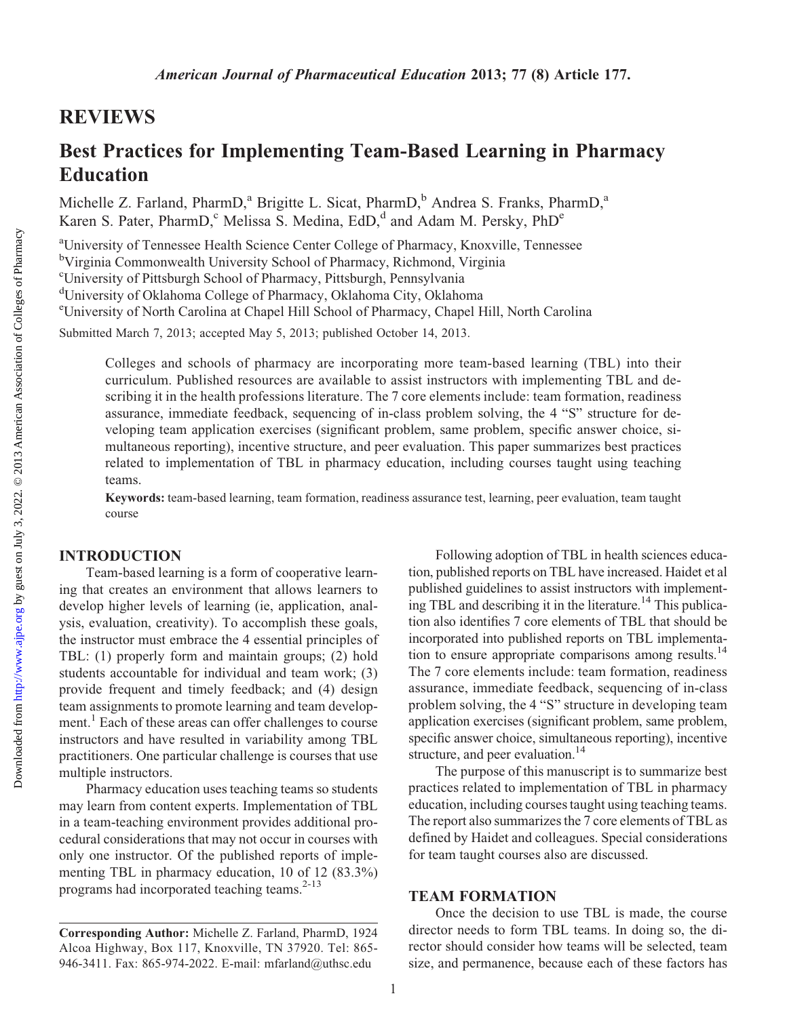# REVIEWS

# Best Practices for Implementing Team-Based Learning in Pharmacy Education

Michelle Z. Farland, PharmD,<sup>a</sup> Brigitte L. Sicat, PharmD,<sup>b</sup> Andrea S. Franks, PharmD,<sup>a</sup> Karen S. Pater, PharmD,<sup>c</sup> Melissa S. Medina, EdD,<sup>d</sup> and Adam M. Persky, PhD<sup>e</sup>

<sup>a</sup>University of Tennessee Health Science Center College of Pharmacy, Knoxville, Tennessee

<sup>b</sup>Virginia Commonwealth University School of Pharmacy, Richmond, Virginia

c University of Pittsburgh School of Pharmacy, Pittsburgh, Pennsylvania

d University of Oklahoma College of Pharmacy, Oklahoma City, Oklahoma

e University of North Carolina at Chapel Hill School of Pharmacy, Chapel Hill, North Carolina

Submitted March 7, 2013; accepted May 5, 2013; published October 14, 2013.

Colleges and schools of pharmacy are incorporating more team-based learning (TBL) into their curriculum. Published resources are available to assist instructors with implementing TBL and describing it in the health professions literature. The 7 core elements include: team formation, readiness assurance, immediate feedback, sequencing of in-class problem solving, the 4 "S" structure for developing team application exercises (significant problem, same problem, specific answer choice, simultaneous reporting), incentive structure, and peer evaluation. This paper summarizes best practices related to implementation of TBL in pharmacy education, including courses taught using teaching teams.

Keywords: team-based learning, team formation, readiness assurance test, learning, peer evaluation, team taught course

#### INTRODUCTION

Team-based learning is a form of cooperative learning that creates an environment that allows learners to develop higher levels of learning (ie, application, analysis, evaluation, creativity). To accomplish these goals, the instructor must embrace the 4 essential principles of TBL: (1) properly form and maintain groups; (2) hold students accountable for individual and team work; (3) provide frequent and timely feedback; and (4) design team assignments to promote learning and team development.<sup>1</sup> Each of these areas can offer challenges to course instructors and have resulted in variability among TBL practitioners. One particular challenge is courses that use multiple instructors.

Pharmacy education uses teaching teams so students may learn from content experts. Implementation of TBL in a team-teaching environment provides additional procedural considerations that may not occur in courses with only one instructor. Of the published reports of implementing TBL in pharmacy education, 10 of 12 (83.3%) programs had incorporated teaching teams.<sup>2-13</sup>

Following adoption of TBL in health sciences education, published reports on TBL have increased. Haidet et al published guidelines to assist instructors with implementing TBL and describing it in the literature.<sup>14</sup> This publication also identifies 7 core elements of TBL that should be incorporated into published reports on TBL implementation to ensure appropriate comparisons among results. $^{14}$ The 7 core elements include: team formation, readiness assurance, immediate feedback, sequencing of in-class problem solving, the 4 "S" structure in developing team application exercises (significant problem, same problem, specific answer choice, simultaneous reporting), incentive structure, and peer evaluation.<sup>14</sup>

The purpose of this manuscript is to summarize best practices related to implementation of TBL in pharmacy education, including courses taught using teaching teams. The report also summarizes the 7 core elements of TBL as defined by Haidet and colleagues. Special considerations for team taught courses also are discussed.

#### TEAM FORMATION

Once the decision to use TBL is made, the course director needs to form TBL teams. In doing so, the director should consider how teams will be selected, team size, and permanence, because each of these factors has

Corresponding Author: Michelle Z. Farland, PharmD, 1924 Alcoa Highway, Box 117, Knoxville, TN 37920. Tel: 865- 946-3411. Fax: 865-974-2022. E-mail: mfarland@uthsc.edu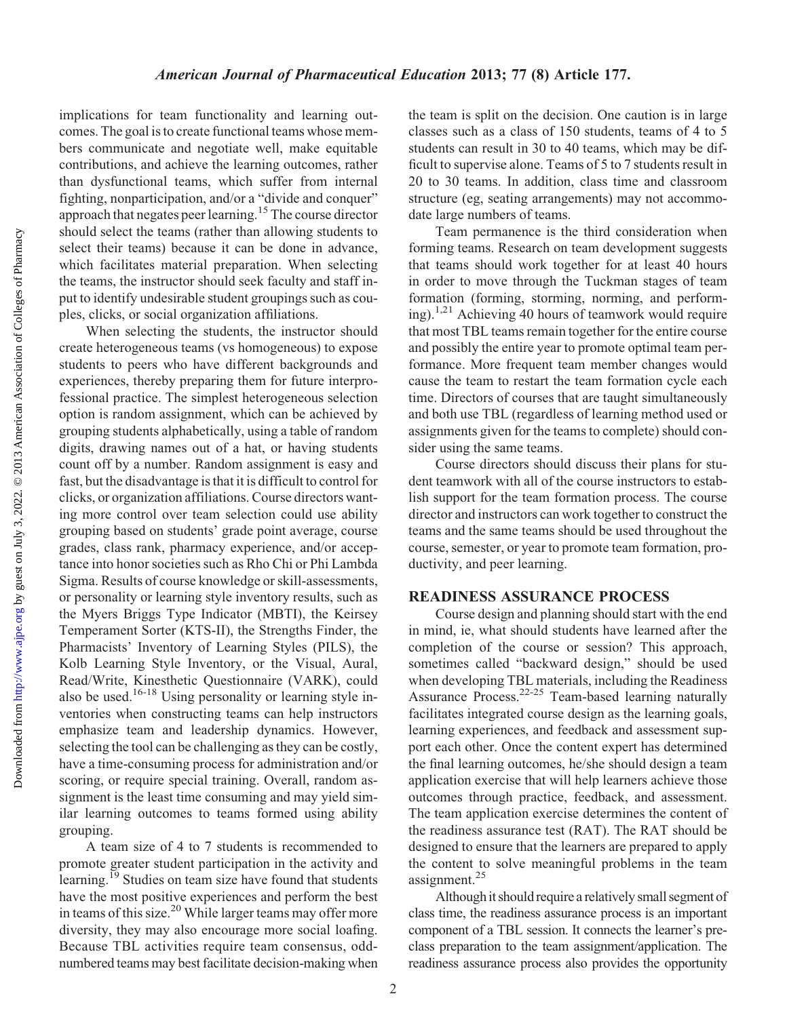Downloaded from

implications for team functionality and learning outcomes. The goal is to create functional teams whose members communicate and negotiate well, make equitable contributions, and achieve the learning outcomes, rather than dysfunctional teams, which suffer from internal fighting, nonparticipation, and/or a "divide and conquer" approach that negates peer learning.<sup>15</sup> The course director should select the teams (rather than allowing students to select their teams) because it can be done in advance, which facilitates material preparation. When selecting the teams, the instructor should seek faculty and staff input to identify undesirable student groupings such as couples, clicks, or social organization affiliations.

When selecting the students, the instructor should create heterogeneous teams (vs homogeneous) to expose students to peers who have different backgrounds and experiences, thereby preparing them for future interprofessional practice. The simplest heterogeneous selection option is random assignment, which can be achieved by grouping students alphabetically, using a table of random digits, drawing names out of a hat, or having students count off by a number. Random assignment is easy and fast, but the disadvantage is that it is difficult to control for clicks, or organization affiliations. Course directors wanting more control over team selection could use ability grouping based on students' grade point average, course grades, class rank, pharmacy experience, and/or acceptance into honor societies such as Rho Chi or Phi Lambda Sigma. Results of course knowledge or skill-assessments, or personality or learning style inventory results, such as the Myers Briggs Type Indicator (MBTI), the Keirsey Temperament Sorter (KTS-II), the Strengths Finder, the Pharmacists' Inventory of Learning Styles (PILS), the Kolb Learning Style Inventory, or the Visual, Aural, Read/Write, Kinesthetic Questionnaire (VARK), could also be used.<sup>16-18</sup> Using personality or learning style inventories when constructing teams can help instructors emphasize team and leadership dynamics. However, selecting the tool can be challenging as they can be costly, have a time-consuming process for administration and/or scoring, or require special training. Overall, random assignment is the least time consuming and may yield similar learning outcomes to teams formed using ability grouping.

A team size of 4 to 7 students is recommended to promote greater student participation in the activity and learning.<sup>19</sup> Studies on team size have found that students have the most positive experiences and perform the best in teams of this size.<sup>20</sup> While larger teams may offer more diversity, they may also encourage more social loafing. Because TBL activities require team consensus, oddnumbered teams may best facilitate decision-making when

the team is split on the decision. One caution is in large classes such as a class of 150 students, teams of 4 to 5 students can result in 30 to 40 teams, which may be difficult to supervise alone. Teams of 5 to 7 students result in 20 to 30 teams. In addition, class time and classroom structure (eg, seating arrangements) may not accommodate large numbers of teams.

Team permanence is the third consideration when forming teams. Research on team development suggests that teams should work together for at least 40 hours in order to move through the Tuckman stages of team formation (forming, storming, norming, and performing).1,21 Achieving 40 hours of teamwork would require that most TBL teams remain together for the entire course and possibly the entire year to promote optimal team performance. More frequent team member changes would cause the team to restart the team formation cycle each time. Directors of courses that are taught simultaneously and both use TBL (regardless of learning method used or assignments given for the teams to complete) should consider using the same teams.

Course directors should discuss their plans for student teamwork with all of the course instructors to establish support for the team formation process. The course director and instructors can work together to construct the teams and the same teams should be used throughout the course, semester, or year to promote team formation, productivity, and peer learning.

### READINESS ASSURANCE PROCESS

Course design and planning should start with the end in mind, ie, what should students have learned after the completion of the course or session? This approach, sometimes called "backward design," should be used when developing TBL materials, including the Readiness Assurance Process.<sup>22-25</sup> Team-based learning naturally facilitates integrated course design as the learning goals, learning experiences, and feedback and assessment support each other. Once the content expert has determined the final learning outcomes, he/she should design a team application exercise that will help learners achieve those outcomes through practice, feedback, and assessment. The team application exercise determines the content of the readiness assurance test (RAT). The RAT should be designed to ensure that the learners are prepared to apply the content to solve meaningful problems in the team assignment.<sup>25</sup>

Although it should require a relatively small segment of class time, the readiness assurance process is an important component of a TBL session. It connects the learner's preclass preparation to the team assignment/application. The readiness assurance process also provides the opportunity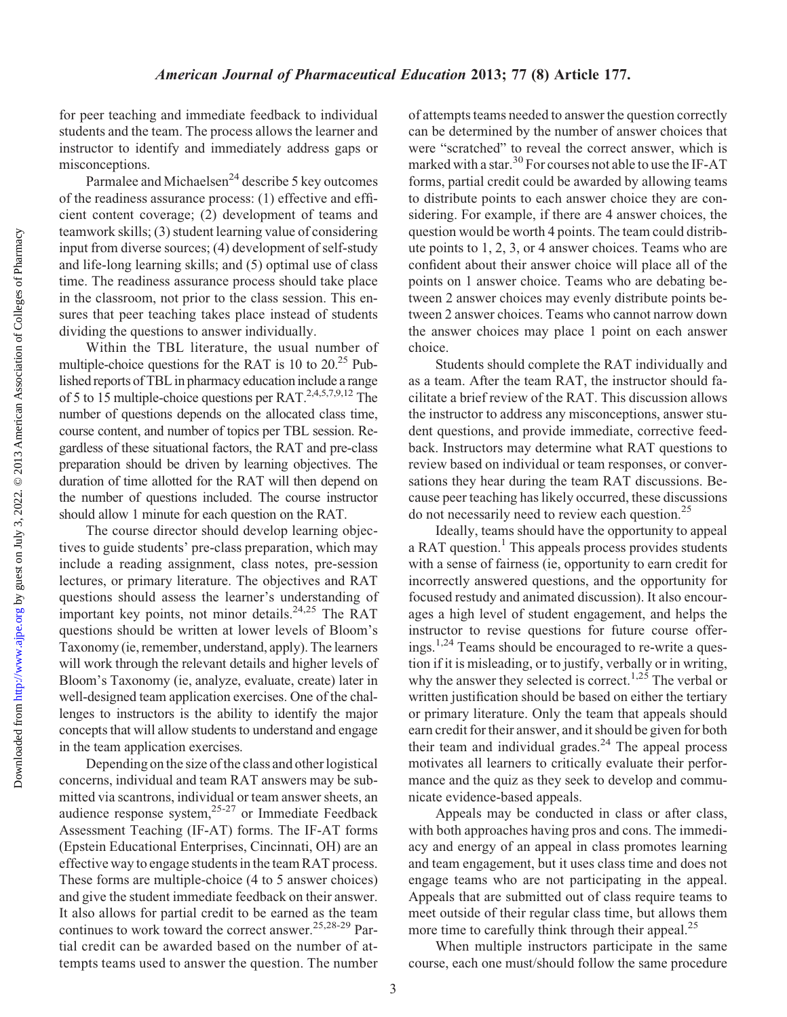for peer teaching and immediate feedback to individual students and the team. The process allows the learner and instructor to identify and immediately address gaps or misconceptions.

Parmalee and Michaelsen<sup>24</sup> describe 5 key outcomes of the readiness assurance process: (1) effective and efficient content coverage; (2) development of teams and teamwork skills; (3) student learning value of considering input from diverse sources; (4) development of self-study and life-long learning skills; and (5) optimal use of class time. The readiness assurance process should take place in the classroom, not prior to the class session. This ensures that peer teaching takes place instead of students dividing the questions to answer individually.

Within the TBL literature, the usual number of multiple-choice questions for the RAT is 10 to  $20^{25}$  Published reports of TBL in pharmacy education include a range of 5 to 15 multiple-choice questions per  $RAT$ <sup>2,4,5,7,9,12</sup> The number of questions depends on the allocated class time, course content, and number of topics per TBL session. Regardless of these situational factors, the RAT and pre-class preparation should be driven by learning objectives. The duration of time allotted for the RAT will then depend on the number of questions included. The course instructor should allow 1 minute for each question on the RAT.

The course director should develop learning objectives to guide students' pre-class preparation, which may include a reading assignment, class notes, pre-session lectures, or primary literature. The objectives and RAT questions should assess the learner's understanding of important key points, not minor details.<sup>24,25</sup> The RAT questions should be written at lower levels of Bloom's Taxonomy (ie, remember, understand, apply). The learners will work through the relevant details and higher levels of Bloom's Taxonomy (ie, analyze, evaluate, create) later in well-designed team application exercises. One of the challenges to instructors is the ability to identify the major concepts that will allow students to understand and engage in the team application exercises.

Depending on the size of the class and other logistical concerns, individual and team RAT answers may be submitted via scantrons, individual or team answer sheets, an audience response system,<sup>25-27</sup> or Immediate Feedback Assessment Teaching (IF-AT) forms. The IF-AT forms (Epstein Educational Enterprises, Cincinnati, OH) are an effective way to engage students in the team RAT process. These forms are multiple-choice (4 to 5 answer choices) and give the student immediate feedback on their answer. It also allows for partial credit to be earned as the team continues to work toward the correct answer.25,28-29 Partial credit can be awarded based on the number of attempts teams used to answer the question. The number

of attempts teams needed to answer the question correctly can be determined by the number of answer choices that were "scratched" to reveal the correct answer, which is marked with a star.<sup>30</sup> For courses not able to use the IF-AT forms, partial credit could be awarded by allowing teams to distribute points to each answer choice they are considering. For example, if there are 4 answer choices, the question would be worth 4 points. The team could distribute points to 1, 2, 3, or 4 answer choices. Teams who are confident about their answer choice will place all of the points on 1 answer choice. Teams who are debating between 2 answer choices may evenly distribute points between 2 answer choices. Teams who cannot narrow down the answer choices may place 1 point on each answer choice.

Students should complete the RAT individually and as a team. After the team RAT, the instructor should facilitate a brief review of the RAT. This discussion allows the instructor to address any misconceptions, answer student questions, and provide immediate, corrective feedback. Instructors may determine what RAT questions to review based on individual or team responses, or conversations they hear during the team RAT discussions. Because peer teaching has likely occurred, these discussions do not necessarily need to review each question.<sup>25</sup>

Ideally, teams should have the opportunity to appeal a RAT question.<sup>1</sup> This appeals process provides students with a sense of fairness (ie, opportunity to earn credit for incorrectly answered questions, and the opportunity for focused restudy and animated discussion). It also encourages a high level of student engagement, and helps the instructor to revise questions for future course offerings.1,24 Teams should be encouraged to re-write a question if it is misleading, or to justify, verbally or in writing, why the answer they selected is correct.<sup>1,25</sup> The verbal or written justification should be based on either the tertiary or primary literature. Only the team that appeals should earn credit for their answer, and it should be given for both their team and individual grades. $24$  The appeal process motivates all learners to critically evaluate their performance and the quiz as they seek to develop and communicate evidence-based appeals.

Appeals may be conducted in class or after class, with both approaches having pros and cons. The immediacy and energy of an appeal in class promotes learning and team engagement, but it uses class time and does not engage teams who are not participating in the appeal. Appeals that are submitted out of class require teams to meet outside of their regular class time, but allows them more time to carefully think through their appeal. $^{25}$ 

When multiple instructors participate in the same course, each one must/should follow the same procedure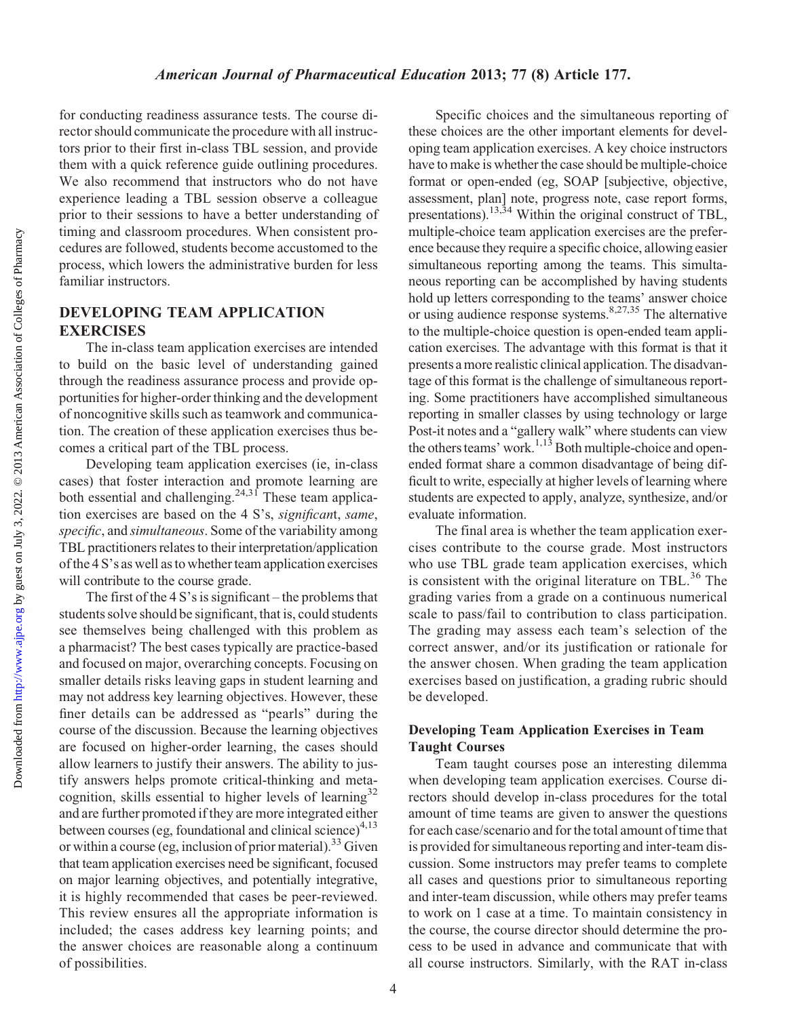<http://www.ajpe.org>

Downloaded from

for conducting readiness assurance tests. The course director should communicate the procedure with all instructors prior to their first in-class TBL session, and provide them with a quick reference guide outlining procedures. We also recommend that instructors who do not have experience leading a TBL session observe a colleague prior to their sessions to have a better understanding of timing and classroom procedures. When consistent procedures are followed, students become accustomed to the process, which lowers the administrative burden for less familiar instructors.

# DEVELOPING TEAM APPLICATION EXERCISES

The in-class team application exercises are intended to build on the basic level of understanding gained through the readiness assurance process and provide opportunities for higher-order thinking and the development of noncognitive skills such as teamwork and communication. The creation of these application exercises thus becomes a critical part of the TBL process.

Developing team application exercises (ie, in-class cases) that foster interaction and promote learning are both essential and challenging.<sup>24,31</sup> These team application exercises are based on the 4 S's, significant, same, specific, and simultaneous. Some of the variability among TBL practitioners relates to their interpretation/application of the 4 S's as well as to whether team application exercises will contribute to the course grade.

The first of the  $4 S$ 's is significant – the problems that students solve should be significant, that is, could students see themselves being challenged with this problem as a pharmacist? The best cases typically are practice-based and focused on major, overarching concepts. Focusing on smaller details risks leaving gaps in student learning and may not address key learning objectives. However, these finer details can be addressed as "pearls" during the course of the discussion. Because the learning objectives are focused on higher-order learning, the cases should allow learners to justify their answers. The ability to justify answers helps promote critical-thinking and metacognition, skills essential to higher levels of learning $32$ and are further promoted if they are more integrated either between courses (eg, foundational and clinical science) $4,13$ or within a course (eg, inclusion of prior material).<sup>33</sup> Given that team application exercises need be significant, focused on major learning objectives, and potentially integrative, it is highly recommended that cases be peer-reviewed. This review ensures all the appropriate information is included; the cases address key learning points; and the answer choices are reasonable along a continuum of possibilities.

Specific choices and the simultaneous reporting of these choices are the other important elements for developing team application exercises. A key choice instructors have to make is whether the case should be multiple-choice format or open-ended (eg, SOAP [subjective, objective, assessment, plan] note, progress note, case report forms, presentations).<sup>13,34</sup> Within the original construct of TBL, multiple-choice team application exercises are the preference because they require a specific choice, allowing easier simultaneous reporting among the teams. This simultaneous reporting can be accomplished by having students hold up letters corresponding to the teams' answer choice or using audience response systems. $8,27,35$  The alternative to the multiple-choice question is open-ended team application exercises. The advantage with this format is that it presents a more realistic clinical application. The disadvantage of this format is the challenge of simultaneous reporting. Some practitioners have accomplished simultaneous reporting in smaller classes by using technology or large Post-it notes and a "gallery walk" where students can view the others teams' work.<sup>1,13</sup> Both multiple-choice and openended format share a common disadvantage of being difficult to write, especially at higher levels of learning where students are expected to apply, analyze, synthesize, and/or evaluate information.

The final area is whether the team application exercises contribute to the course grade. Most instructors who use TBL grade team application exercises, which is consistent with the original literature on TBL.<sup>36</sup> The grading varies from a grade on a continuous numerical scale to pass/fail to contribution to class participation. The grading may assess each team's selection of the correct answer, and/or its justification or rationale for the answer chosen. When grading the team application exercises based on justification, a grading rubric should be developed.

# Developing Team Application Exercises in Team Taught Courses

Team taught courses pose an interesting dilemma when developing team application exercises. Course directors should develop in-class procedures for the total amount of time teams are given to answer the questions for each case/scenario and for the total amount of time that is provided for simultaneous reporting and inter-team discussion. Some instructors may prefer teams to complete all cases and questions prior to simultaneous reporting and inter-team discussion, while others may prefer teams to work on 1 case at a time. To maintain consistency in the course, the course director should determine the process to be used in advance and communicate that with all course instructors. Similarly, with the RAT in-class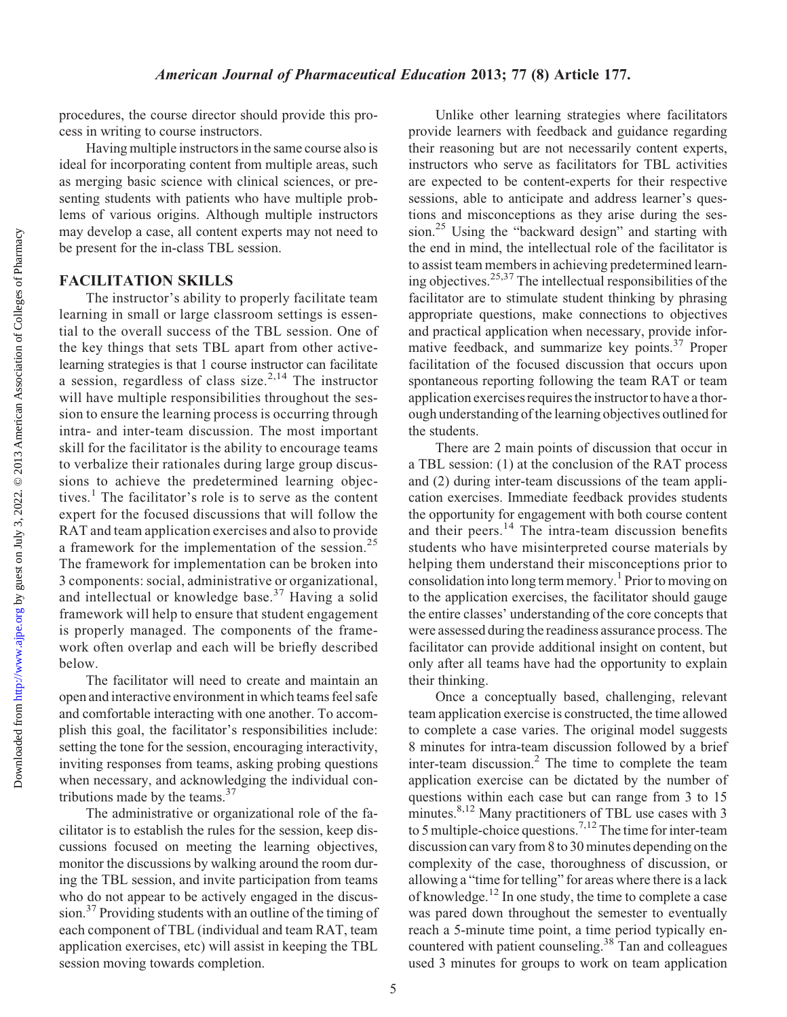Downloaded from

#### American Journal of Pharmaceutical Education 2013; 77 (8) Article 177.

procedures, the course director should provide this process in writing to course instructors.

Having multiple instructors in the same course also is ideal for incorporating content from multiple areas, such as merging basic science with clinical sciences, or presenting students with patients who have multiple problems of various origins. Although multiple instructors may develop a case, all content experts may not need to be present for the in-class TBL session.

# FACILITATION SKILLS

The instructor's ability to properly facilitate team learning in small or large classroom settings is essential to the overall success of the TBL session. One of the key things that sets TBL apart from other activelearning strategies is that 1 course instructor can facilitate a session, regardless of class size.<sup>2,14</sup> The instructor will have multiple responsibilities throughout the session to ensure the learning process is occurring through intra- and inter-team discussion. The most important skill for the facilitator is the ability to encourage teams to verbalize their rationales during large group discussions to achieve the predetermined learning objectives.<sup>1</sup> The facilitator's role is to serve as the content expert for the focused discussions that will follow the RAT and team application exercises and also to provide a framework for the implementation of the session.<sup>25</sup> The framework for implementation can be broken into 3 components: social, administrative or organizational, and intellectual or knowledge base.<sup>37</sup> Having a solid framework will help to ensure that student engagement is properly managed. The components of the framework often overlap and each will be briefly described below.

The facilitator will need to create and maintain an open and interactive environment in which teams feel safe and comfortable interacting with one another. To accomplish this goal, the facilitator's responsibilities include: setting the tone for the session, encouraging interactivity, inviting responses from teams, asking probing questions when necessary, and acknowledging the individual contributions made by the teams.<sup>37</sup>

The administrative or organizational role of the facilitator is to establish the rules for the session, keep discussions focused on meeting the learning objectives, monitor the discussions by walking around the room during the TBL session, and invite participation from teams who do not appear to be actively engaged in the discussion.37 Providing students with an outline of the timing of each component of TBL (individual and team RAT, team application exercises, etc) will assist in keeping the TBL session moving towards completion.

Unlike other learning strategies where facilitators provide learners with feedback and guidance regarding their reasoning but are not necessarily content experts, instructors who serve as facilitators for TBL activities are expected to be content-experts for their respective sessions, able to anticipate and address learner's questions and misconceptions as they arise during the session.25 Using the "backward design" and starting with the end in mind, the intellectual role of the facilitator is to assist team members in achieving predetermined learning objectives.<sup>25,37</sup> The intellectual responsibilities of the facilitator are to stimulate student thinking by phrasing appropriate questions, make connections to objectives and practical application when necessary, provide informative feedback, and summarize key points.<sup>37</sup> Proper facilitation of the focused discussion that occurs upon spontaneous reporting following the team RAT or team application exercises requires the instructor to have a thorough understanding of the learning objectives outlined for the students.

There are 2 main points of discussion that occur in a TBL session: (1) at the conclusion of the RAT process and (2) during inter-team discussions of the team application exercises. Immediate feedback provides students the opportunity for engagement with both course content and their peers. $14$  The intra-team discussion benefits students who have misinterpreted course materials by helping them understand their misconceptions prior to consolidation into long term memory.1 Prior to moving on to the application exercises, the facilitator should gauge the entire classes' understanding of the core concepts that were assessed during the readiness assurance process. The facilitator can provide additional insight on content, but only after all teams have had the opportunity to explain their thinking.

Once a conceptually based, challenging, relevant team application exercise is constructed, the time allowed to complete a case varies. The original model suggests 8 minutes for intra-team discussion followed by a brief inter-team discussion. $^{2}$  The time to complete the team application exercise can be dictated by the number of questions within each case but can range from 3 to 15 minutes.<sup>8,12</sup> Many practitioners of TBL use cases with 3 to 5 multiple-choice questions.<sup>7,12</sup> The time for inter-team discussion can vary from 8 to 30 minutes depending on the complexity of the case, thoroughness of discussion, or allowing a "time for telling" for areas where there is a lack of knowledge.12 In one study, the time to complete a case was pared down throughout the semester to eventually reach a 5-minute time point, a time period typically encountered with patient counseling.<sup>38</sup> Tan and colleagues used 3 minutes for groups to work on team application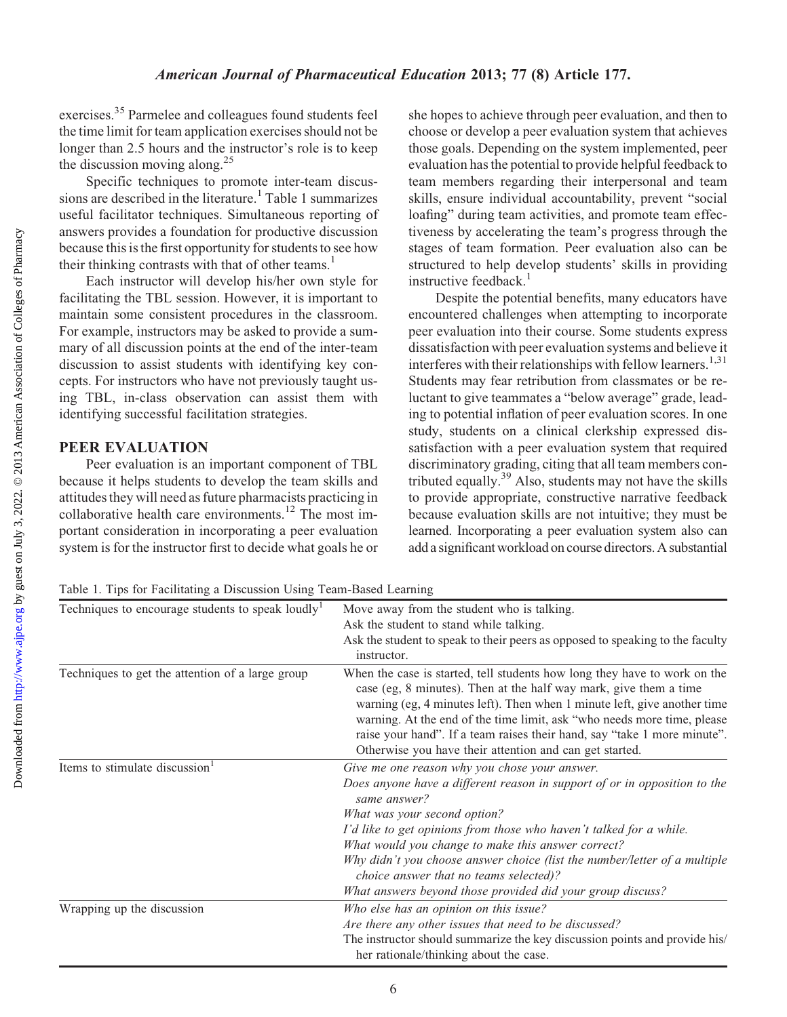exercises.35 Parmelee and colleagues found students feel the time limit for team application exercises should not be longer than 2.5 hours and the instructor's role is to keep the discussion moving along.<sup>25</sup>

Specific techniques to promote inter-team discussions are described in the literature.<sup>1</sup> Table 1 summarizes useful facilitator techniques. Simultaneous reporting of answers provides a foundation for productive discussion because this is the first opportunity for students to see how their thinking contrasts with that of other teams.<sup>1</sup>

Each instructor will develop his/her own style for facilitating the TBL session. However, it is important to maintain some consistent procedures in the classroom. For example, instructors may be asked to provide a summary of all discussion points at the end of the inter-team discussion to assist students with identifying key concepts. For instructors who have not previously taught using TBL, in-class observation can assist them with identifying successful facilitation strategies.

# PEER EVALUATION

Peer evaluation is an important component of TBL because it helps students to develop the team skills and attitudes they will need as future pharmacists practicing in collaborative health care environments.<sup>12</sup> The most important consideration in incorporating a peer evaluation system is for the instructor first to decide what goals he or she hopes to achieve through peer evaluation, and then to choose or develop a peer evaluation system that achieves those goals. Depending on the system implemented, peer evaluation has the potential to provide helpful feedback to team members regarding their interpersonal and team skills, ensure individual accountability, prevent "social loafing" during team activities, and promote team effectiveness by accelerating the team's progress through the stages of team formation. Peer evaluation also can be structured to help develop students' skills in providing instructive feedback.<sup>1</sup>

Despite the potential benefits, many educators have encountered challenges when attempting to incorporate peer evaluation into their course. Some students express dissatisfaction with peer evaluation systems and believe it interferes with their relationships with fellow learners.<sup>1,31</sup> Students may fear retribution from classmates or be reluctant to give teammates a "below average" grade, leading to potential inflation of peer evaluation scores. In one study, students on a clinical clerkship expressed dissatisfaction with a peer evaluation system that required discriminatory grading, citing that all team members contributed equally.39 Also, students may not have the skills to provide appropriate, constructive narrative feedback because evaluation skills are not intuitive; they must be learned. Incorporating a peer evaluation system also can add a significant workload on course directors. A substantial

Table 1. Tips for Facilitating a Discussion Using Team-Based Learning

| Techniques to encourage students to speak loudly <sup>1</sup> | Move away from the student who is talking.                                                                                                                                                                                                                                                                                                                                                                                                   |  |  |  |  |
|---------------------------------------------------------------|----------------------------------------------------------------------------------------------------------------------------------------------------------------------------------------------------------------------------------------------------------------------------------------------------------------------------------------------------------------------------------------------------------------------------------------------|--|--|--|--|
|                                                               | Ask the student to stand while talking.                                                                                                                                                                                                                                                                                                                                                                                                      |  |  |  |  |
|                                                               | Ask the student to speak to their peers as opposed to speaking to the faculty<br>instructor.                                                                                                                                                                                                                                                                                                                                                 |  |  |  |  |
| Techniques to get the attention of a large group              | When the case is started, tell students how long they have to work on the<br>case (eg, 8 minutes). Then at the half way mark, give them a time<br>warning (eg, 4 minutes left). Then when 1 minute left, give another time<br>warning. At the end of the time limit, ask "who needs more time, please<br>raise your hand". If a team raises their hand, say "take 1 more minute".<br>Otherwise you have their attention and can get started. |  |  |  |  |
| Items to stimulate discussion                                 | Give me one reason why you chose your answer.<br>Does anyone have a different reason in support of or in opposition to the<br>same answer?                                                                                                                                                                                                                                                                                                   |  |  |  |  |
|                                                               | What was your second option?                                                                                                                                                                                                                                                                                                                                                                                                                 |  |  |  |  |
|                                                               | I'd like to get opinions from those who haven't talked for a while.                                                                                                                                                                                                                                                                                                                                                                          |  |  |  |  |
|                                                               | What would you change to make this answer correct?                                                                                                                                                                                                                                                                                                                                                                                           |  |  |  |  |
|                                                               | Why didn't you choose answer choice (list the number/letter of a multiple<br>choice answer that no teams selected)?                                                                                                                                                                                                                                                                                                                          |  |  |  |  |
|                                                               | What answers beyond those provided did your group discuss?                                                                                                                                                                                                                                                                                                                                                                                   |  |  |  |  |
| Wrapping up the discussion                                    | Who else has an opinion on this issue?                                                                                                                                                                                                                                                                                                                                                                                                       |  |  |  |  |
|                                                               | Are there any other issues that need to be discussed?                                                                                                                                                                                                                                                                                                                                                                                        |  |  |  |  |
|                                                               | The instructor should summarize the key discussion points and provide his/<br>her rationale/thinking about the case.                                                                                                                                                                                                                                                                                                                         |  |  |  |  |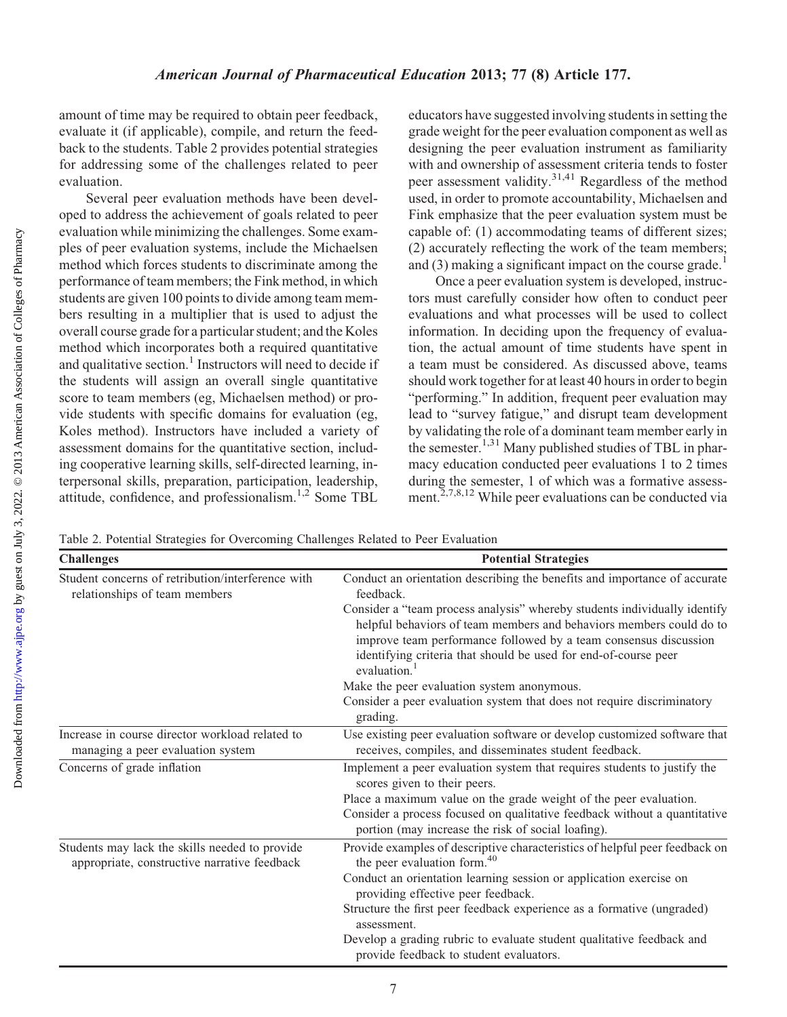Downloaded from

amount of time may be required to obtain peer feedback, evaluate it (if applicable), compile, and return the feedback to the students. Table 2 provides potential strategies for addressing some of the challenges related to peer evaluation.

Several peer evaluation methods have been developed to address the achievement of goals related to peer evaluation while minimizing the challenges. Some examples of peer evaluation systems, include the Michaelsen method which forces students to discriminate among the performance of team members; the Fink method, in which students are given 100 points to divide among team members resulting in a multiplier that is used to adjust the overall course grade for a particular student; and the Koles method which incorporates both a required quantitative and qualitative section.<sup>1</sup> Instructors will need to decide if the students will assign an overall single quantitative score to team members (eg, Michaelsen method) or provide students with specific domains for evaluation (eg, Koles method). Instructors have included a variety of assessment domains for the quantitative section, including cooperative learning skills, self-directed learning, interpersonal skills, preparation, participation, leadership, attitude, confidence, and professionalism.1,2 Some TBL

educators have suggested involving students in setting the grade weight for the peer evaluation component as well as designing the peer evaluation instrument as familiarity with and ownership of assessment criteria tends to foster peer assessment validity.<sup>31,41</sup> Regardless of the method used, in order to promote accountability, Michaelsen and Fink emphasize that the peer evaluation system must be capable of: (1) accommodating teams of different sizes; (2) accurately reflecting the work of the team members; and  $(3)$  making a significant impact on the course grade.<sup>1</sup>

Once a peer evaluation system is developed, instructors must carefully consider how often to conduct peer evaluations and what processes will be used to collect information. In deciding upon the frequency of evaluation, the actual amount of time students have spent in a team must be considered. As discussed above, teams should work together for at least 40 hours in order to begin "performing." In addition, frequent peer evaluation may lead to "survey fatigue," and disrupt team development by validating the role of a dominant team member early in the semester.<sup>1,31</sup> Many published studies of TBL in pharmacy education conducted peer evaluations 1 to 2 times during the semester, 1 of which was a formative assessment.<sup> $2,7,8,12$ </sup> While peer evaluations can be conducted via

Table 2. Potential Strategies for Overcoming Challenges Related to Peer Evaluation

| <b>Challenges</b>                                                                              | <b>Potential Strategies</b>                                                                                                                                                                                                                                                                                |
|------------------------------------------------------------------------------------------------|------------------------------------------------------------------------------------------------------------------------------------------------------------------------------------------------------------------------------------------------------------------------------------------------------------|
| Student concerns of retribution/interference with<br>relationships of team members             | Conduct an orientation describing the benefits and importance of accurate<br>feedback.                                                                                                                                                                                                                     |
|                                                                                                | Consider a "team process analysis" whereby students individually identify<br>helpful behaviors of team members and behaviors members could do to<br>improve team performance followed by a team consensus discussion<br>identifying criteria that should be used for end-of-course peer<br>evaluation. $1$ |
|                                                                                                | Make the peer evaluation system anonymous.                                                                                                                                                                                                                                                                 |
|                                                                                                | Consider a peer evaluation system that does not require discriminatory<br>grading.                                                                                                                                                                                                                         |
| Increase in course director workload related to<br>managing a peer evaluation system           | Use existing peer evaluation software or develop customized software that<br>receives, compiles, and disseminates student feedback.                                                                                                                                                                        |
| Concerns of grade inflation                                                                    | Implement a peer evaluation system that requires students to justify the<br>scores given to their peers.                                                                                                                                                                                                   |
|                                                                                                | Place a maximum value on the grade weight of the peer evaluation.                                                                                                                                                                                                                                          |
|                                                                                                | Consider a process focused on qualitative feedback without a quantitative<br>portion (may increase the risk of social loafing).                                                                                                                                                                            |
| Students may lack the skills needed to provide<br>appropriate, constructive narrative feedback | Provide examples of descriptive characteristics of helpful peer feedback on<br>the peer evaluation form. <sup>40</sup>                                                                                                                                                                                     |
|                                                                                                | Conduct an orientation learning session or application exercise on<br>providing effective peer feedback.                                                                                                                                                                                                   |
|                                                                                                | Structure the first peer feedback experience as a formative (ungraded)<br>assessment.                                                                                                                                                                                                                      |
|                                                                                                | Develop a grading rubric to evaluate student qualitative feedback and<br>provide feedback to student evaluators.                                                                                                                                                                                           |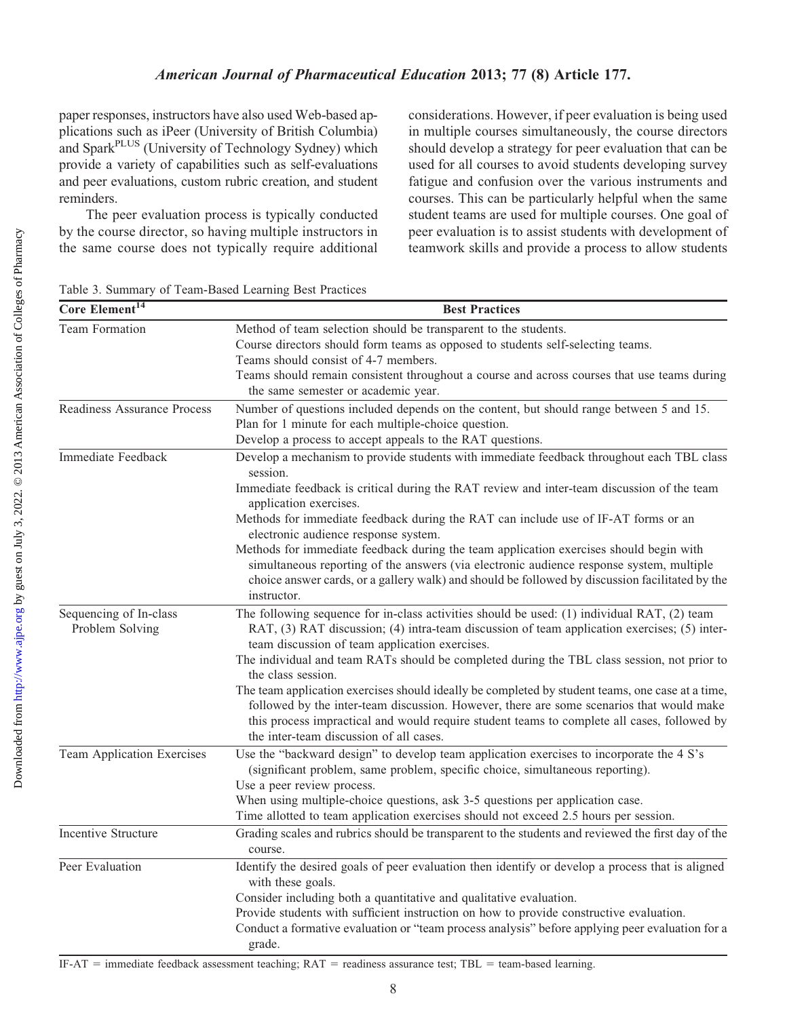paper responses, instructors have also used Web-based applications such as iPeer (University of British Columbia) and Spark<sup>PLUS</sup> (University of Technology Sydney) which provide a variety of capabilities such as self-evaluations and peer evaluations, custom rubric creation, and student reminders.

The peer evaluation process is typically conducted by the course director, so having multiple instructors in the same course does not typically require additional considerations. However, if peer evaluation is being used in multiple courses simultaneously, the course directors should develop a strategy for peer evaluation that can be used for all courses to avoid students developing survey fatigue and confusion over the various instruments and courses. This can be particularly helpful when the same student teams are used for multiple courses. One goal of peer evaluation is to assist students with development of teamwork skills and provide a process to allow students

|  | Table 3. Summary of Team-Based Learning Best Practices |  |  |  |
|--|--------------------------------------------------------|--|--|--|
|  |                                                        |  |  |  |

| Core Element <sup>14</sup>                | <b>Best Practices</b>                                                                                                                                                                                                                                                                                                                                                                                                                                                                                                                                                                                                                                                                                        |
|-------------------------------------------|--------------------------------------------------------------------------------------------------------------------------------------------------------------------------------------------------------------------------------------------------------------------------------------------------------------------------------------------------------------------------------------------------------------------------------------------------------------------------------------------------------------------------------------------------------------------------------------------------------------------------------------------------------------------------------------------------------------|
| <b>Team Formation</b>                     | Method of team selection should be transparent to the students.<br>Course directors should form teams as opposed to students self-selecting teams.<br>Teams should consist of 4-7 members.<br>Teams should remain consistent throughout a course and across courses that use teams during<br>the same semester or academic year.                                                                                                                                                                                                                                                                                                                                                                             |
| Readiness Assurance Process               | Number of questions included depends on the content, but should range between 5 and 15.<br>Plan for 1 minute for each multiple-choice question.<br>Develop a process to accept appeals to the RAT questions.                                                                                                                                                                                                                                                                                                                                                                                                                                                                                                 |
| Immediate Feedback                        | Develop a mechanism to provide students with immediate feedback throughout each TBL class<br>session.<br>Immediate feedback is critical during the RAT review and inter-team discussion of the team<br>application exercises.<br>Methods for immediate feedback during the RAT can include use of IF-AT forms or an<br>electronic audience response system.<br>Methods for immediate feedback during the team application exercises should begin with<br>simultaneous reporting of the answers (via electronic audience response system, multiple<br>choice answer cards, or a gallery walk) and should be followed by discussion facilitated by the<br>instructor.                                          |
| Sequencing of In-class<br>Problem Solving | The following sequence for in-class activities should be used: (1) individual RAT, (2) team<br>RAT, (3) RAT discussion; (4) intra-team discussion of team application exercises; (5) inter-<br>team discussion of team application exercises.<br>The individual and team RATs should be completed during the TBL class session, not prior to<br>the class session.<br>The team application exercises should ideally be completed by student teams, one case at a time,<br>followed by the inter-team discussion. However, there are some scenarios that would make<br>this process impractical and would require student teams to complete all cases, followed by<br>the inter-team discussion of all cases. |
| <b>Team Application Exercises</b>         | Use the "backward design" to develop team application exercises to incorporate the 4 S's<br>(significant problem, same problem, specific choice, simultaneous reporting).<br>Use a peer review process.<br>When using multiple-choice questions, ask 3-5 questions per application case.<br>Time allotted to team application exercises should not exceed 2.5 hours per session.                                                                                                                                                                                                                                                                                                                             |
| <b>Incentive Structure</b>                | Grading scales and rubrics should be transparent to the students and reviewed the first day of the<br>course.                                                                                                                                                                                                                                                                                                                                                                                                                                                                                                                                                                                                |
| Peer Evaluation                           | Identify the desired goals of peer evaluation then identify or develop a process that is aligned<br>with these goals.<br>Consider including both a quantitative and qualitative evaluation.<br>Provide students with sufficient instruction on how to provide constructive evaluation.<br>Conduct a formative evaluation or "team process analysis" before applying peer evaluation for a<br>grade.                                                                                                                                                                                                                                                                                                          |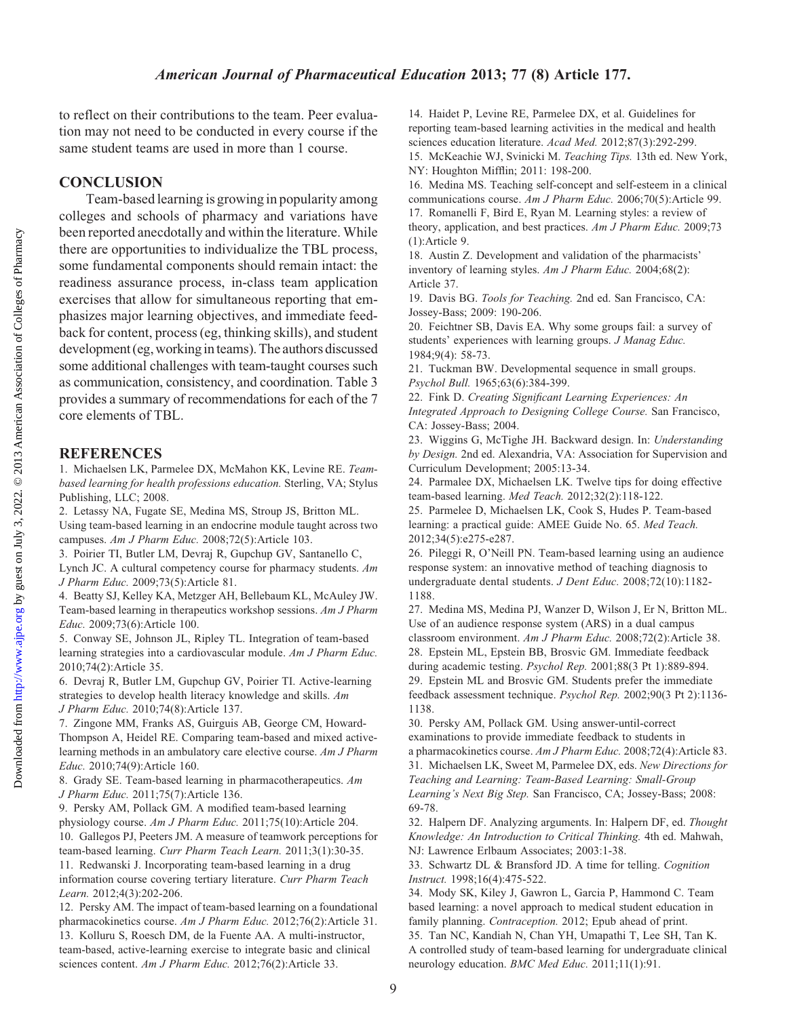# American Journal of Pharmaceutical Education 2013; 77 (8) Article 177.

to reflect on their contributions to the team. Peer evaluation may not need to be conducted in every course if the same student teams are used in more than 1 course.

# **CONCLUSION**

Team-based learning is growing in popularity among colleges and schools of pharmacy and variations have been reported anecdotally and within the literature. While there are opportunities to individualize the TBL process, some fundamental components should remain intact: the readiness assurance process, in-class team application exercises that allow for simultaneous reporting that emphasizes major learning objectives, and immediate feedback for content, process (eg, thinking skills), and student development (eg, working in teams). The authors discussed some additional challenges with team-taught courses such as communication, consistency, and coordination. Table 3 provides a summary of recommendations for each of the 7 core elements of TBL.

### **REFERENCES**

1. Michaelsen LK, Parmelee DX, McMahon KK, Levine RE. Teambased learning for health professions education. Sterling, VA; Stylus Publishing, LLC; 2008.

2. Letassy NA, Fugate SE, Medina MS, Stroup JS, Britton ML. Using team-based learning in an endocrine module taught across two campuses. Am J Pharm Educ. 2008;72(5):Article 103.

3. Poirier TI, Butler LM, Devraj R, Gupchup GV, Santanello C,

Lynch JC. A cultural competency course for pharmacy students. Am J Pharm Educ. 2009;73(5):Article 81.

4. Beatty SJ, Kelley KA, Metzger AH, Bellebaum KL, McAuley JW. Team-based learning in therapeutics workshop sessions. Am J Pharm Educ. 2009;73(6):Article 100.

5. Conway SE, Johnson JL, Ripley TL. Integration of team-based learning strategies into a cardiovascular module. Am J Pharm Educ. 2010;74(2):Article 35.

6. Devraj R, Butler LM, Gupchup GV, Poirier TI. Active-learning strategies to develop health literacy knowledge and skills. Am J Pharm Educ. 2010;74(8):Article 137.

7. Zingone MM, Franks AS, Guirguis AB, George CM, Howard-Thompson A, Heidel RE. Comparing team-based and mixed activelearning methods in an ambulatory care elective course. Am J Pharm Educ. 2010;74(9):Article 160.

8. Grady SE. Team-based learning in pharmacotherapeutics. Am J Pharm Educ. 2011;75(7):Article 136.

9. Persky AM, Pollack GM. A modified team-based learning physiology course. Am J Pharm Educ. 2011;75(10):Article 204. 10. Gallegos PJ, Peeters JM. A measure of teamwork perceptions for team-based learning. Curr Pharm Teach Learn. 2011;3(1):30-35. 11. Redwanski J. Incorporating team-based learning in a drug information course covering tertiary literature. Curr Pharm Teach Learn. 2012;4(3):202-206.

12. Persky AM. The impact of team-based learning on a foundational pharmacokinetics course. Am J Pharm Educ. 2012;76(2):Article 31. 13. Kolluru S, Roesch DM, de la Fuente AA. A multi-instructor, team-based, active-learning exercise to integrate basic and clinical sciences content. Am J Pharm Educ. 2012;76(2):Article 33.

14. Haidet P, Levine RE, Parmelee DX, et al. Guidelines for reporting team-based learning activities in the medical and health sciences education literature. Acad Med. 2012;87(3):292-299. 15. McKeachie WJ, Svinicki M. Teaching Tips. 13th ed. New York, NY: Houghton Mifflin; 2011: 198-200.

16. Medina MS. Teaching self-concept and self-esteem in a clinical communications course. Am J Pharm Educ. 2006;70(5):Article 99. 17. Romanelli F, Bird E, Ryan M. Learning styles: a review of theory, application, and best practices. Am J Pharm Educ. 2009;73 (1):Article 9.

18. Austin Z. Development and validation of the pharmacists' inventory of learning styles. Am J Pharm Educ. 2004;68(2): Article 37.

19. Davis BG. Tools for Teaching. 2nd ed. San Francisco, CA: Jossey-Bass; 2009: 190-206.

20. Feichtner SB, Davis EA. Why some groups fail: a survey of students' experiences with learning groups. J Manag Educ. 1984;9(4): 58-73.

21. Tuckman BW. Developmental sequence in small groups. Psychol Bull. 1965;63(6):384-399.

22. Fink D. Creating Significant Learning Experiences: An Integrated Approach to Designing College Course. San Francisco, CA: Jossey-Bass; 2004.

23. Wiggins G, McTighe JH. Backward design. In: Understanding by Design. 2nd ed. Alexandria, VA: Association for Supervision and Curriculum Development; 2005:13-34.

24. Parmalee DX, Michaelsen LK. Twelve tips for doing effective team-based learning. Med Teach. 2012;32(2):118-122.

25. Parmelee D, Michaelsen LK, Cook S, Hudes P. Team-based learning: a practical guide: AMEE Guide No. 65. Med Teach. 2012;34(5):e275-e287.

26. Pileggi R, O'Neill PN. Team-based learning using an audience response system: an innovative method of teaching diagnosis to undergraduate dental students. J Dent Educ. 2008;72(10):1182- 1188.

27. Medina MS, Medina PJ, Wanzer D, Wilson J, Er N, Britton ML. Use of an audience response system (ARS) in a dual campus classroom environment. Am J Pharm Educ. 2008;72(2):Article 38. 28. Epstein ML, Epstein BB, Brosvic GM. Immediate feedback during academic testing. Psychol Rep. 2001;88(3 Pt 1):889-894. 29. Epstein ML and Brosvic GM. Students prefer the immediate feedback assessment technique. Psychol Rep. 2002;90(3 Pt 2):1136- 1138.

30. Persky AM, Pollack GM. Using answer-until-correct examinations to provide immediate feedback to students in a pharmacokinetics course. Am J Pharm Educ. 2008;72(4):Article 83. 31. Michaelsen LK, Sweet M, Parmelee DX, eds. New Directions for Teaching and Learning: Team-Based Learning: Small-Group Learning's Next Big Step. San Francisco, CA; Jossey-Bass; 2008: 69-78.

32. Halpern DF. Analyzing arguments. In: Halpern DF, ed. Thought Knowledge: An Introduction to Critical Thinking. 4th ed. Mahwah, NJ: Lawrence Erlbaum Associates; 2003:1-38.

33. Schwartz DL & Bransford JD. A time for telling. Cognition Instruct. 1998;16(4):475-522.

34. Mody SK, Kiley J, Gawron L, Garcia P, Hammond C. Team based learning: a novel approach to medical student education in family planning. *Contraception*. 2012; Epub ahead of print. 35. Tan NC, Kandiah N, Chan YH, Umapathi T, Lee SH, Tan K. A controlled study of team-based learning for undergraduate clinical

neurology education. BMC Med Educ. 2011;11(1):91.